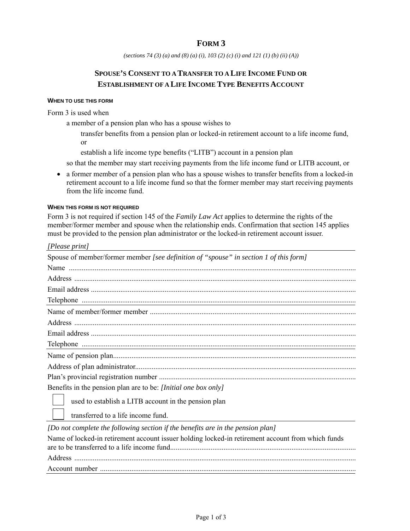# **FORM 3**

*(sections 74 (3) (a) and (8) (a) (i), 103 (2) (c) (i) and 121 (1) (b) (ii) (A))* 

# **SPOUSE'S CONSENT TO A TRANSFER TO A LIFE INCOME FUND OR ESTABLISHMENT OF A LIFE INCOME TYPE BENEFITS ACCOUNT**

#### **WHEN TO USE THIS FORM**

Form 3 is used when

a member of a pension plan who has a spouse wishes to

- transfer benefits from a pension plan or locked-in retirement account to a life income fund, or
- establish a life income type benefits ("LITB") account in a pension plan

so that the member may start receiving payments from the life income fund or LITB account, or

 a former member of a pension plan who has a spouse wishes to transfer benefits from a locked-in retirement account to a life income fund so that the former member may start receiving payments from the life income fund.

#### **WHEN THIS FORM IS NOT REQUIRED**

Form 3 is not required if section 145 of the *Family Law Act* applies to determine the rights of the member/former member and spouse when the relationship ends. Confirmation that section 145 applies must be provided to the pension plan administrator or the locked-in retirement account issuer.

| [Please print]                                                                        |
|---------------------------------------------------------------------------------------|
| Spouse of member/former member [see definition of "spouse" in section 1 of this form] |
|                                                                                       |
|                                                                                       |
|                                                                                       |
|                                                                                       |
|                                                                                       |
|                                                                                       |
|                                                                                       |
|                                                                                       |
|                                                                                       |
|                                                                                       |
|                                                                                       |
| Benefits in the pension plan are to be: [Initial one box only]                        |
| used to establish a LITB account in the pension plan                                  |
| transferred to a life income fund.                                                    |

*[Do not complete the following section if the benefits are in the pension plan]* 

| Name of locked-in retirement account issuer holding locked-in retirement account from which funds |
|---------------------------------------------------------------------------------------------------|
|                                                                                                   |
|                                                                                                   |
|                                                                                                   |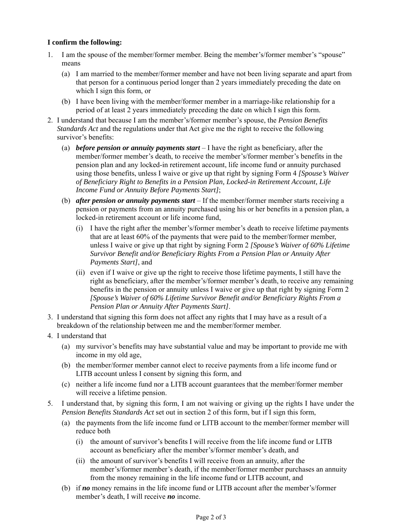## **I confirm the following:**

- 1. I am the spouse of the member/former member. Being the member's/former member's "spouse" means
	- (a) I am married to the member/former member and have not been living separate and apart from that person for a continuous period longer than 2 years immediately preceding the date on which I sign this form, or
	- (b) I have been living with the member/former member in a marriage-like relationship for a period of at least 2 years immediately preceding the date on which I sign this form.
- 2. I understand that because I am the member's/former member's spouse, the *Pension Benefits Standards Act* and the regulations under that Act give me the right to receive the following survivor's benefits:
	- (a) *before pension or annuity payments start* I have the right as beneficiary, after the member/former member's death, to receive the member's/former member's benefits in the pension plan and any locked-in retirement account, life income fund or annuity purchased using those benefits, unless I waive or give up that right by signing Form 4 *[Spouse's Waiver of Beneficiary Right to Benefits in a Pension Plan, Locked-in Retirement Account, Life Income Fund or Annuity Before Payments Start]*;
	- (b) *after pension or annuity payments start* If the member/former member starts receiving a pension or payments from an annuity purchased using his or her benefits in a pension plan, a locked-in retirement account or life income fund,
		- (i) I have the right after the member's/former member's death to receive lifetime payments that are at least 60% of the payments that were paid to the member/former member, unless I waive or give up that right by signing Form 2 *[Spouse's Waiver of 60% Lifetime Survivor Benefit and/or Beneficiary Rights From a Pension Plan or Annuity After Payments Start]*, and
		- (ii) even if I waive or give up the right to receive those lifetime payments, I still have the right as beneficiary, after the member's/former member's death, to receive any remaining benefits in the pension or annuity unless I waive or give up that right by signing Form 2 *[Spouse's Waiver of 60% Lifetime Survivor Benefit and/or Beneficiary Rights From a Pension Plan or Annuity After Payments Start]*.
- 3. I understand that signing this form does not affect any rights that I may have as a result of a breakdown of the relationship between me and the member/former member.
- 4. I understand that
	- (a) my survivor's benefits may have substantial value and may be important to provide me with income in my old age,
	- (b) the member/former member cannot elect to receive payments from a life income fund or LITB account unless I consent by signing this form, and
	- (c) neither a life income fund nor a LITB account guarantees that the member/former member will receive a lifetime pension.
- 5. I understand that, by signing this form, I am not waiving or giving up the rights I have under the *Pension Benefits Standards Act* set out in section 2 of this form, but if I sign this form,
	- (a) the payments from the life income fund or LITB account to the member/former member will reduce both
		- (i) the amount of survivor's benefits I will receive from the life income fund or LITB account as beneficiary after the member's/former member's death, and
		- (ii) the amount of survivor's benefits I will receive from an annuity, after the member's/former member's death, if the member/former member purchases an annuity from the money remaining in the life income fund or LITB account, and
	- (b) if *no* money remains in the life income fund or LITB account after the member's/former member's death, I will receive *no* income.